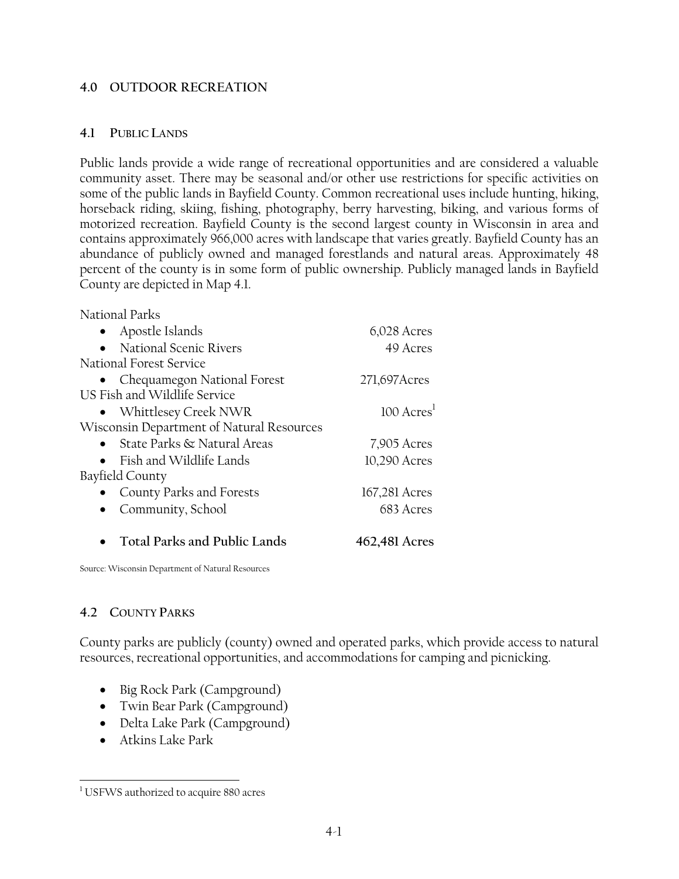#### **4.0 OUTDOOR RECREATION**

#### **4.1 PUBLIC LANDS**

Public lands provide a wide range of recreational opportunities and are considered a valuable community asset. There may be seasonal and/or other use restrictions for specific activities on some of the public lands in Bayfield County. Common recreational uses include hunting, hiking, horseback riding, skiing, fishing, photography, berry harvesting, biking, and various forms of motorized recreation. Bayfield County is the second largest county in Wisconsin in area and contains approximately 966,000 acres with landscape that varies greatly. Bayfield County has an abundance of publicly owned and managed forestlands and natural areas. Approximately 48 percent of the county is in some form of public ownership. Publicly managed lands in Bayfield County are depicted in Map 4.1.

National Parks

| Apostle Islands                           | 6,028 Acres                       |
|-------------------------------------------|-----------------------------------|
| • National Scenic Rivers                  | 49 Acres                          |
| National Forest Service                   |                                   |
| • Chequamegon National Forest             | 271,697 Acres                     |
| US Fish and Wildlife Service              |                                   |
| • Whittlesey Creek NWR                    | $100 \text{ A}$ cres <sup>1</sup> |
| Wisconsin Department of Natural Resources |                                   |
| • State Parks $\&$ Natural Areas          | 7,905 Acres                       |
| Fish and Wildlife Lands                   | 10,290 Acres                      |
| Bayfield County                           |                                   |
| County Parks and Forests                  | 167,281 Acres                     |
| Community, School                         | 683 Acres                         |
| <b>Total Parks and Public Lands</b>       | 462,481 Acres                     |

Source: Wisconsin Department of Natural Resources

## **4.2 COUNTY PARKS**

County parks are publicly (county) owned and operated parks, which provide access to natural resources, recreational opportunities, and accommodations for camping and picnicking.

- Big Rock Park (Campground)
- Twin Bear Park (Campground)
- Delta Lake Park (Campground)
- Atkins Lake Park

 $\overline{a}$ <sup>1</sup> USFWS authorized to acquire 880 acres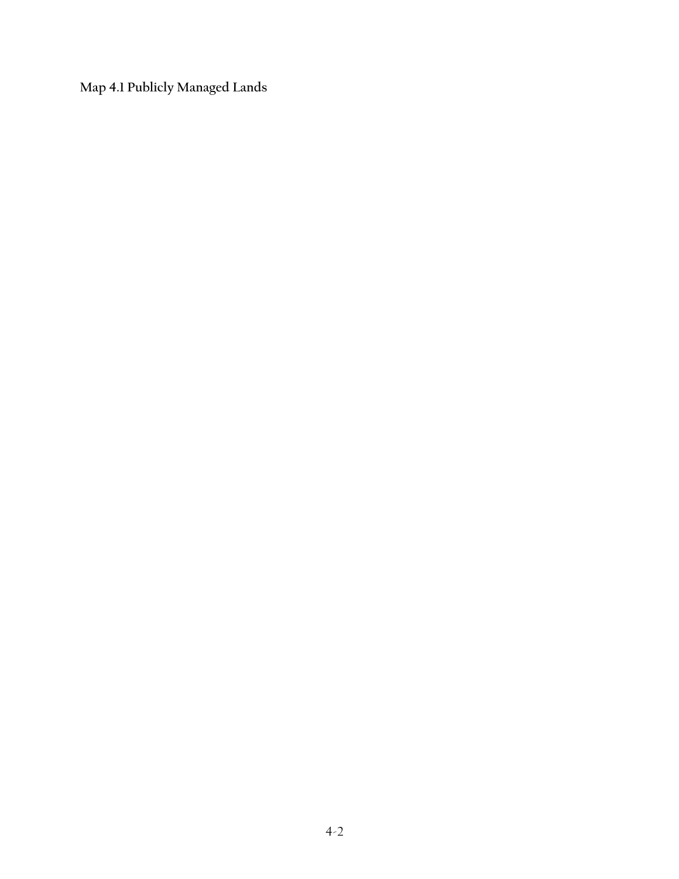**Map 4.1 Publicly Managed Lands**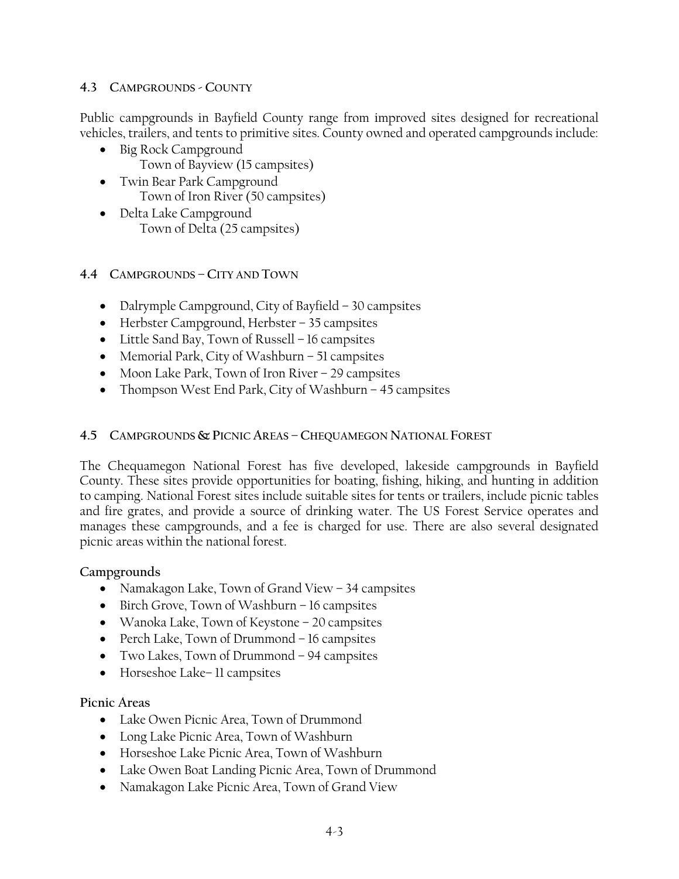#### **4.3 CAMPGROUNDS - COUNTY**

Public campgrounds in Bayfield County range from improved sites designed for recreational vehicles, trailers, and tents to primitive sites. County owned and operated campgrounds include:

- Big Rock Campground Town of Bayview (15 campsites)
- Twin Bear Park Campground Town of Iron River (50 campsites)
- Delta Lake Campground Town of Delta (25 campsites)

## **4.4 CAMPGROUNDS – CITY AND TOWN**

- Dalrymple Campground, City of Bayfield 30 campsites
- Herbster Campground, Herbster 35 campsites
- Little Sand Bay, Town of Russell 16 campsites
- Memorial Park, City of Washburn 51 campsites
- Moon Lake Park, Town of Iron River 29 campsites
- Thompson West End Park, City of Washburn 45 campsites

#### **4.5 CAMPGROUNDS & PICNIC AREAS – CHEQUAMEGON NATIONAL FOREST**

The Chequamegon National Forest has five developed, lakeside campgrounds in Bayfield County. These sites provide opportunities for boating, fishing, hiking, and hunting in addition to camping. National Forest sites include suitable sites for tents or trailers, include picnic tables and fire grates, and provide a source of drinking water. The US Forest Service operates and manages these campgrounds, and a fee is charged for use. There are also several designated picnic areas within the national forest.

## **Campgrounds**

- Namakagon Lake, Town of Grand View 34 campsites
- Birch Grove, Town of Washburn 16 campsites
- Wanoka Lake, Town of Keystone 20 campsites
- Perch Lake, Town of Drummond 16 campsites
- Two Lakes, Town of Drummond 94 campsites
- Horseshoe Lake– 11 campsites

## **Picnic Areas**

- Lake Owen Picnic Area, Town of Drummond
- Long Lake Picnic Area, Town of Washburn
- Horseshoe Lake Picnic Area, Town of Washburn
- Lake Owen Boat Landing Picnic Area, Town of Drummond
- Namakagon Lake Picnic Area, Town of Grand View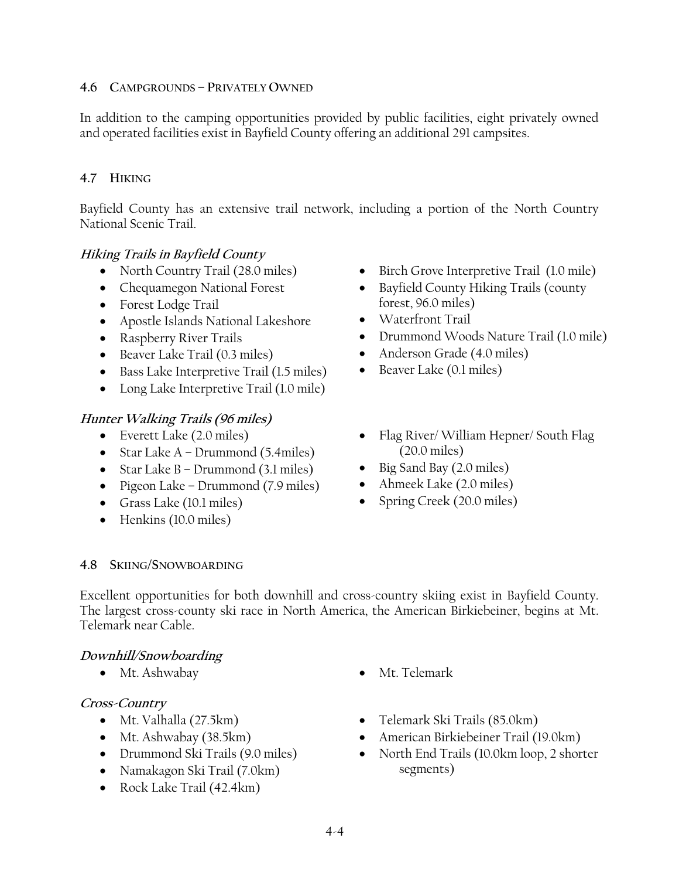#### **4.6 CAMPGROUNDS – PRIVATELY OWNED**

In addition to the camping opportunities provided by public facilities, eight privately owned and operated facilities exist in Bayfield County offering an additional 291 campsites.

## **4.7 HIKING**

Bayfield County has an extensive trail network, including a portion of the North Country National Scenic Trail.

## **Hiking Trails in Bayfield County**

- North Country Trail (28.0 miles)
- Chequamegon National Forest
- Forest Lodge Trail
- Apostle Islands National Lakeshore
- Raspberry River Trails
- Beaver Lake Trail (0.3 miles)
- Bass Lake Interpretive Trail (1.5 miles)
- Long Lake Interpretive Trail (1.0 mile)

## **Hunter Walking Trails (96 miles)**

- Everett Lake (2.0 miles)
- Star Lake A Drummond (5.4miles)
- Star Lake B Drummond (3.1 miles)
- Pigeon Lake Drummond (7.9 miles)
- Grass Lake (10.1 miles)
- Henkins (10.0 miles)
- Birch Grove Interpretive Trail (1.0 mile)
- Bayfield County Hiking Trails (county forest, 96.0 miles)
- Waterfront Trail
- Drummond Woods Nature Trail (1.0 mile)
- Anderson Grade (4.0 miles)
- Beaver Lake (0.1 miles)
- Flag River/ William Hepner/ South Flag (20.0 miles)
- Big Sand Bay (2.0 miles)
- Ahmeek Lake (2.0 miles)
- Spring Creek (20.0 miles)

## **4.8 SKIING/SNOWBOARDING**

Excellent opportunities for both downhill and cross-country skiing exist in Bayfield County. The largest cross-county ski race in North America, the American Birkiebeiner, begins at Mt. Telemark near Cable.

## **Downhill/Snowboarding**

• Mt. Ashwabay • Mt. Telemark

## **Cross-Country**

- Mt. Valhalla (27.5km)
- Mt. Ashwabay (38.5km)
- Drummond Ski Trails (9.0 miles)
- Namakagon Ski Trail (7.0km)
- Rock Lake Trail (42.4km)
- 
- Telemark Ski Trails (85.0km)
- American Birkiebeiner Trail (19.0km)
- North End Trails (10.0km loop, 2 shorter segments)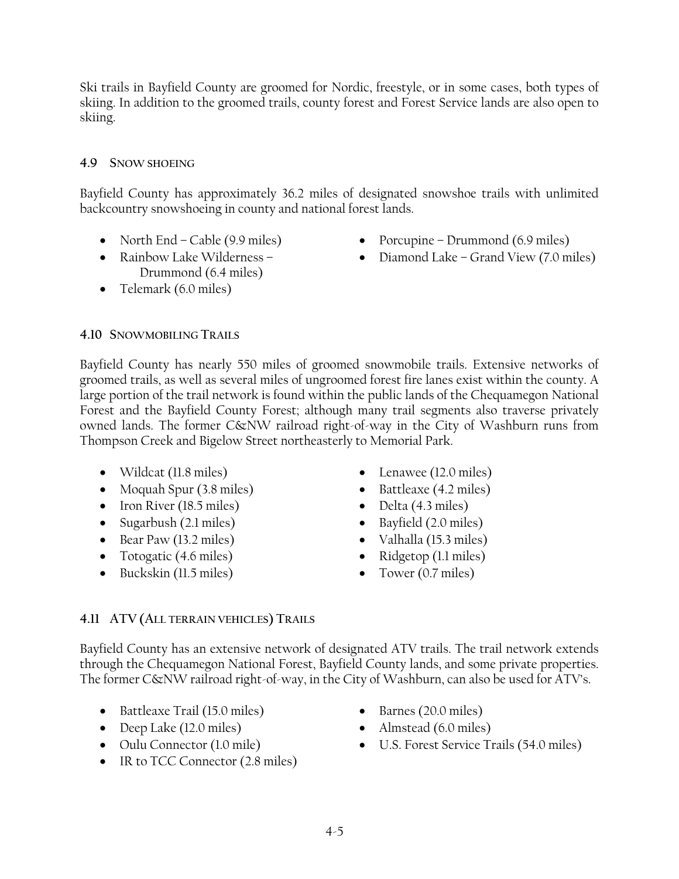Ski trails in Bayfield County are groomed for Nordic, freestyle, or in some cases, both types of skiing. In addition to the groomed trails, county forest and Forest Service lands are also open to skiing.

## **4.9 SNOW SHOEING**

Bayfield County has approximately 36.2 miles of designated snowshoe trails with unlimited backcountry snowshoeing in county and national forest lands.

- North End Cable (9.9 miles)
- Rainbow Lake Wilderness Drummond (6.4 miles)
- Telemark (6.0 miles)
- Porcupine Drummond (6.9 miles)
- Diamond Lake Grand View (7.0 miles)

## **4.10 SNOWMOBILING TRAILS**

Bayfield County has nearly 550 miles of groomed snowmobile trails. Extensive networks of groomed trails, as well as several miles of ungroomed forest fire lanes exist within the county. A large portion of the trail network is found within the public lands of the Chequamegon National Forest and the Bayfield County Forest; although many trail segments also traverse privately owned lands. The former C&NW railroad right-of-way in the City of Washburn runs from Thompson Creek and Bigelow Street northeasterly to Memorial Park.

- Wildcat (11.8 miles)
- Moquah Spur (3.8 miles)
- Iron River (18.5 miles)
- Sugarbush (2.1 miles)
- Bear Paw (13.2 miles)
- Totogatic (4.6 miles)
- Buckskin (11.5 miles)
- Lenawee (12.0 miles)
- Battleaxe (4.2 miles)
- Delta (4.3 miles)
- Bayfield (2.0 miles)
- Valhalla (15.3 miles)
- Ridgetop (1.1 miles)
- Tower (0.7 miles)

# **4.11 ATV (ALL TERRAIN VEHICLES) TRAILS**

Bayfield County has an extensive network of designated ATV trails. The trail network extends through the Chequamegon National Forest, Bayfield County lands, and some private properties. The former C&NW railroad right-of-way, in the City of Washburn, can also be used for ATV's.

- Battleaxe Trail (15.0 miles)
- Deep Lake (12.0 miles)
- Oulu Connector (1.0 mile)
- IR to TCC Connector (2.8 miles)
- Barnes (20.0 miles)
- Almstead (6.0 miles)
- U.S. Forest Service Trails (54.0 miles)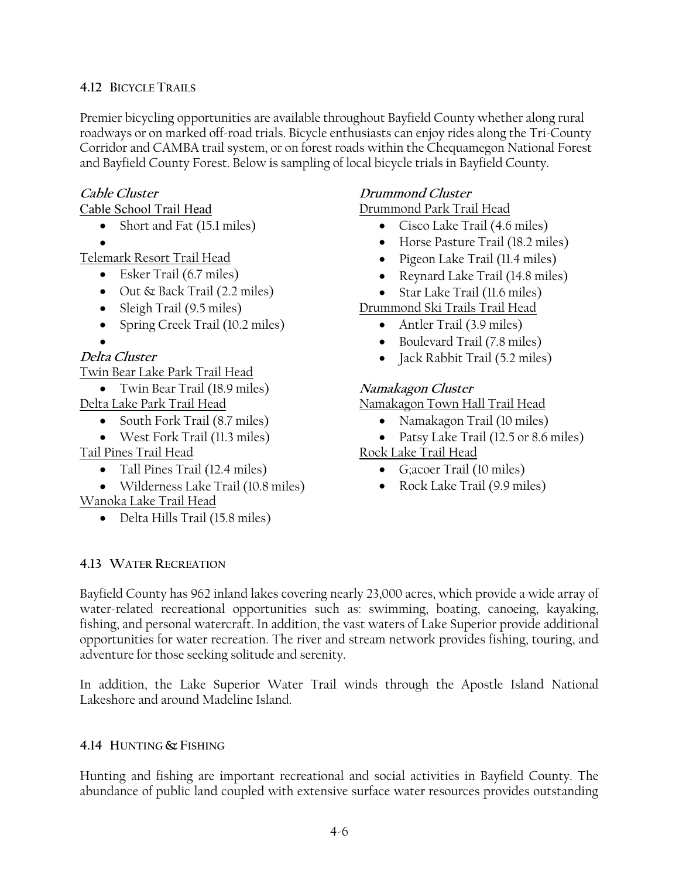## **4.12 BICYCLE TRAILS**

Premier bicycling opportunities are available throughout Bayfield County whether along rural roadways or on marked off-road trials. Bicycle enthusiasts can enjoy rides along the Tri-County Corridor and CAMBA trail system, or on forest roads within the Chequamegon National Forest and Bayfield County Forest. Below is sampling of local bicycle trials in Bayfield County.

#### **Cable Cluster**

Cable School Trail Head

- Short and Fat (15.1 miles)
- •

Telemark Resort Trail Head

- Esker Trail (6.7 miles)
- Out & Back Trail (2.2 miles)
- Sleigh Trail (9.5 miles)
- Spring Creek Trail (10.2 miles)
- •

## **Delta Cluster**

Twin Bear Lake Park Trail Head

• Twin Bear Trail (18.9 miles)

- Delta Lake Park Trail Head
	- South Fork Trail (8.7 miles)
	- West Fork Trail (11.3 miles)

Tail Pines Trail Head

- Tall Pines Trail (12.4 miles)
- Wilderness Lake Trail (10.8 miles) Wanoka Lake Trail Head
	- Delta Hills Trail (15.8 miles)

# **Drummond Cluster**

Drummond Park Trail Head

- Cisco Lake Trail (4.6 miles)
- Horse Pasture Trail (18.2 miles)
- Pigeon Lake Trail (11.4 miles)
- Reynard Lake Trail (14.8 miles)
- Star Lake Trail (11.6 miles)
- Drummond Ski Trails Trail Head
	- Antler Trail (3.9 miles)
	- Boulevard Trail (7.8 miles)
	- Jack Rabbit Trail (5.2 miles)

## **Namakagon Cluster**

Namakagon Town Hall Trail Head

- Namakagon Trail (10 miles)
- Patsy Lake Trail (12.5 or 8.6 miles)

## Rock Lake Trail Head

- G;acoer Trail (10 miles)
- Rock Lake Trail (9.9 miles)

#### **4.13 WATER RECREATION**

Bayfield County has 962 inland lakes covering nearly 23,000 acres, which provide a wide array of water-related recreational opportunities such as: swimming, boating, canoeing, kayaking, fishing, and personal watercraft. In addition, the vast waters of Lake Superior provide additional opportunities for water recreation. The river and stream network provides fishing, touring, and adventure for those seeking solitude and serenity.

In addition, the Lake Superior Water Trail winds through the Apostle Island National Lakeshore and around Madeline Island.

## **4.14 HUNTING & FISHING**

Hunting and fishing are important recreational and social activities in Bayfield County. The abundance of public land coupled with extensive surface water resources provides outstanding